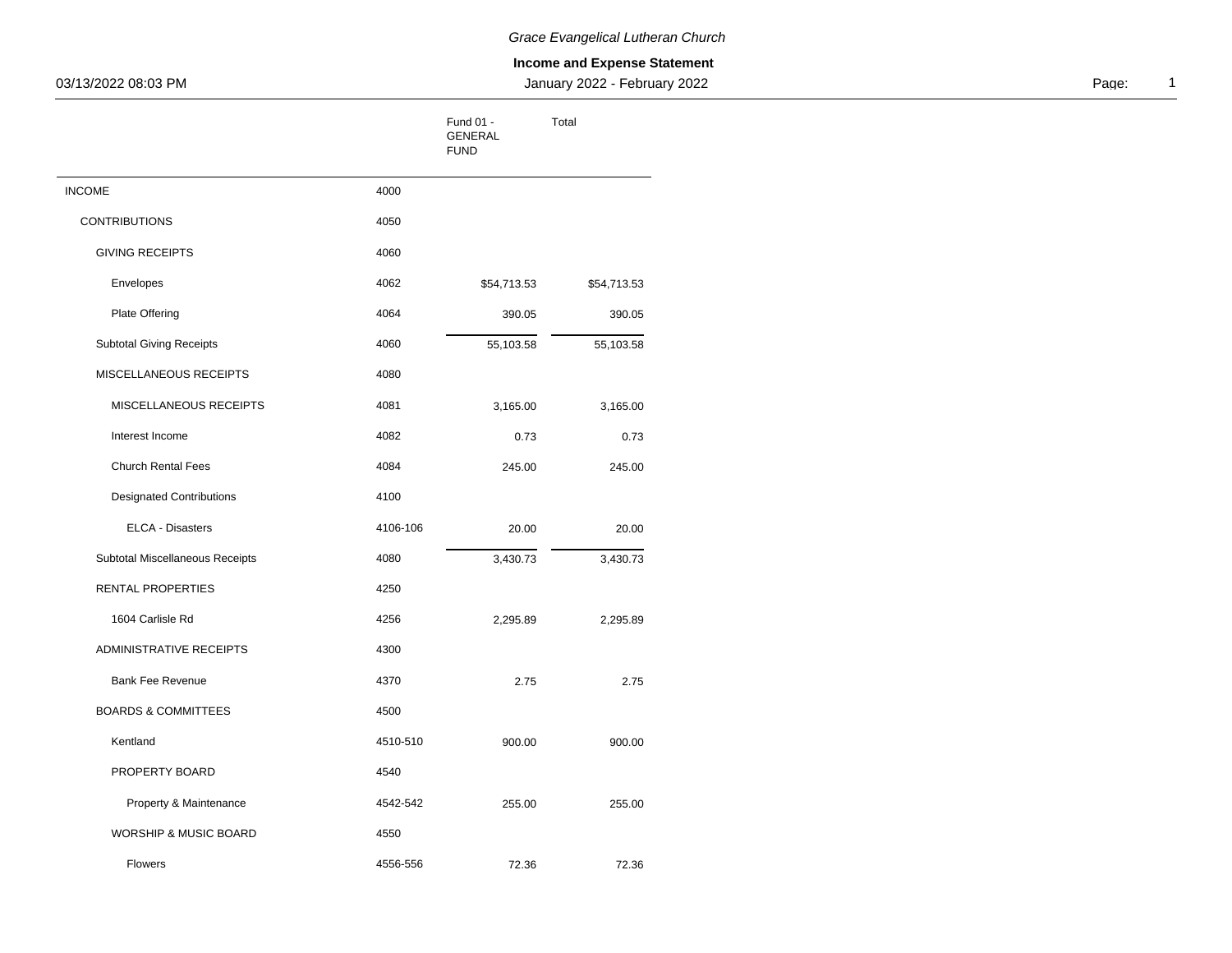| 03/13/2022 08:03 PM             |          |                                     | January 2022 - February 2022 |
|---------------------------------|----------|-------------------------------------|------------------------------|
|                                 |          | Fund 01 -<br>GENERAL<br><b>FUND</b> | Total                        |
| <b>INCOME</b>                   | 4000     |                                     |                              |
| <b>CONTRIBUTIONS</b>            | 4050     |                                     |                              |
| <b>GIVING RECEIPTS</b>          | 4060     |                                     |                              |
| Envelopes                       | 4062     | \$54,713.53                         | \$54,713.53                  |
| Plate Offering                  | 4064     | 390.05                              | 390.05                       |
| Subtotal Giving Receipts        | 4060     | 55,103.58                           | 55,103.58                    |
| MISCELLANEOUS RECEIPTS          | 4080     |                                     |                              |
| MISCELLANEOUS RECEIPTS          | 4081     | 3,165.00                            | 3,165.00                     |
| Interest Income                 | 4082     | 0.73                                | 0.73                         |
| Church Rental Fees              | 4084     | 245.00                              | 245.00                       |
| <b>Designated Contributions</b> | 4100     |                                     |                              |
| ELCA - Disasters                | 4106-106 | 20.00                               | 20.00                        |
| Subtotal Miscellaneous Receipts | 4080     | 3,430.73                            | 3,430.73                     |
| RENTAL PROPERTIES               | 4250     |                                     |                              |
| 1604 Carlisle Rd                | 4256     | 2,295.89                            | 2,295.89                     |
| ADMINISTRATIVE RECEIPTS         | 4300     |                                     |                              |
| Bank Fee Revenue                | 4370     | 2.75                                | 2.75                         |
| <b>BOARDS &amp; COMMITTEES</b>  | 4500     |                                     |                              |
| Kentland                        | 4510-510 | 900.00                              | 900.00                       |
| PROPERTY BOARD                  | 4540     |                                     |                              |
| Property & Maintenance          | 4542-542 | 255.00                              | 255.00                       |
| WORSHIP & MUSIC BOARD           | 4550     |                                     |                              |
| Flowers                         | 4556-556 | 72.36                               | 72.36                        |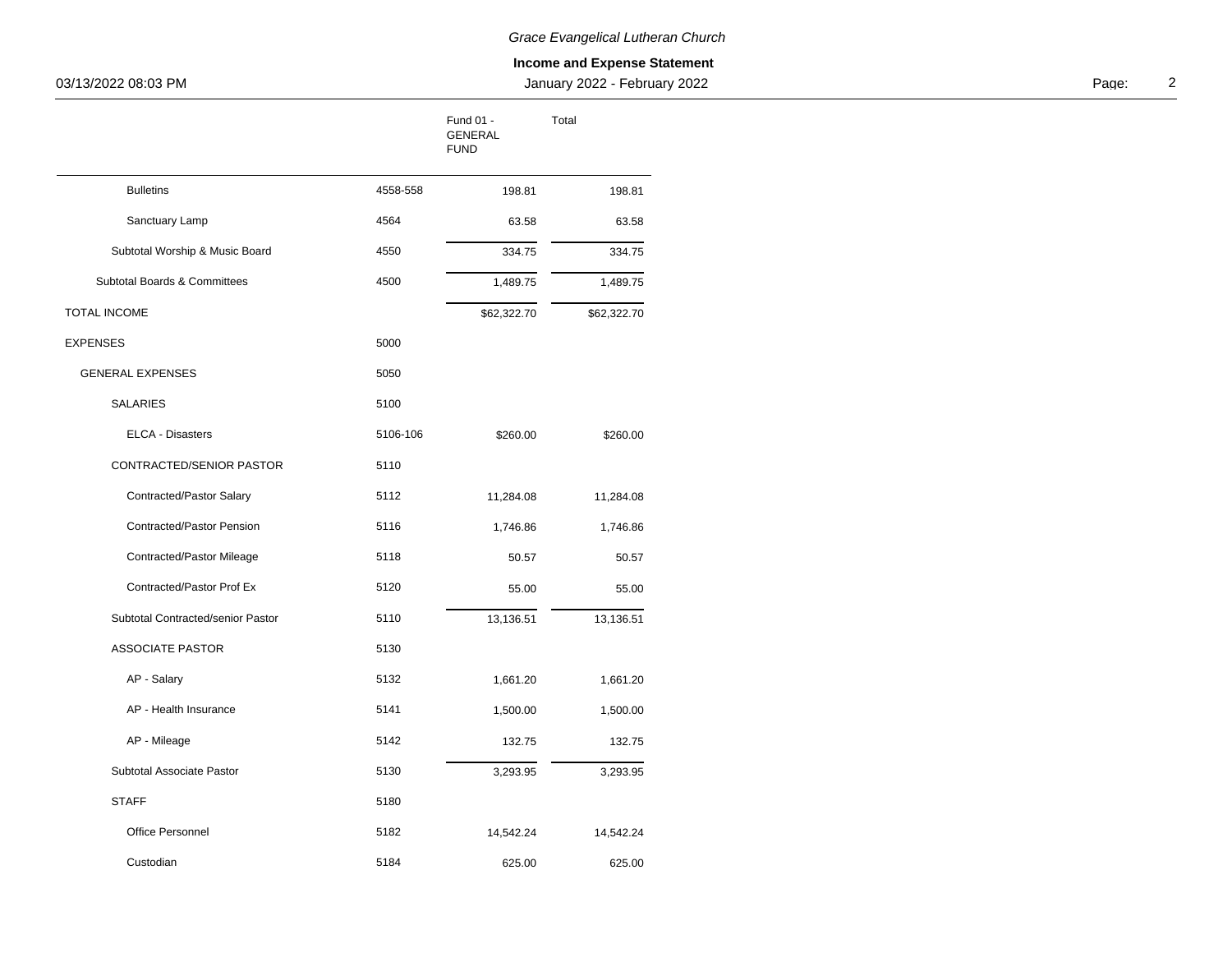| 03/13/2022 08:03 PM               |          |                                     | January 2022 - February 2022 |  | Page: |
|-----------------------------------|----------|-------------------------------------|------------------------------|--|-------|
|                                   |          | Fund 01 -<br>GENERAL<br><b>FUND</b> | Total                        |  |       |
| <b>Bulletins</b>                  | 4558-558 | 198.81                              | 198.81                       |  |       |
| Sanctuary Lamp                    | 4564     | 63.58                               | 63.58                        |  |       |
| Subtotal Worship & Music Board    | 4550     | 334.75                              | 334.75                       |  |       |
| Subtotal Boards & Committees      | 4500     | 1,489.75                            | 1,489.75                     |  |       |
| <b>TOTAL INCOME</b>               |          | \$62,322.70                         | \$62,322.70                  |  |       |
| <b>EXPENSES</b>                   | 5000     |                                     |                              |  |       |
| <b>GENERAL EXPENSES</b>           | 5050     |                                     |                              |  |       |
| SALARIES                          | 5100     |                                     |                              |  |       |
| ELCA - Disasters                  | 5106-106 | \$260.00                            | \$260.00                     |  |       |
| CONTRACTED/SENIOR PASTOR          | 5110     |                                     |                              |  |       |
| Contracted/Pastor Salary          | 5112     | 11,284.08                           | 11,284.08                    |  |       |
| Contracted/Pastor Pension         | 5116     | 1,746.86                            | 1,746.86                     |  |       |
| <b>Contracted/Pastor Mileage</b>  | 5118     | 50.57                               | 50.57                        |  |       |
| Contracted/Pastor Prof Ex         | 5120     | 55.00                               | 55.00                        |  |       |
| Subtotal Contracted/senior Pastor | 5110     | 13,136.51                           | 13,136.51                    |  |       |
| ASSOCIATE PASTOR                  | 5130     |                                     |                              |  |       |
| AP - Salary                       | 5132     | 1,661.20                            | 1,661.20                     |  |       |
| AP - Health Insurance             | 5141     | 1,500.00                            | 1,500.00                     |  |       |
| AP - Mileage                      | 5142     | 132.75                              | 132.75                       |  |       |
| Subtotal Associate Pastor         | 5130     | 3,293.95                            | 3,293.95                     |  |       |
| <b>STAFF</b>                      | 5180     |                                     |                              |  |       |
| Office Personnel                  | 5182     | 14,542.24                           | 14,542.24                    |  |       |
| Custodian                         | 5184     | 625.00                              | 625.00                       |  |       |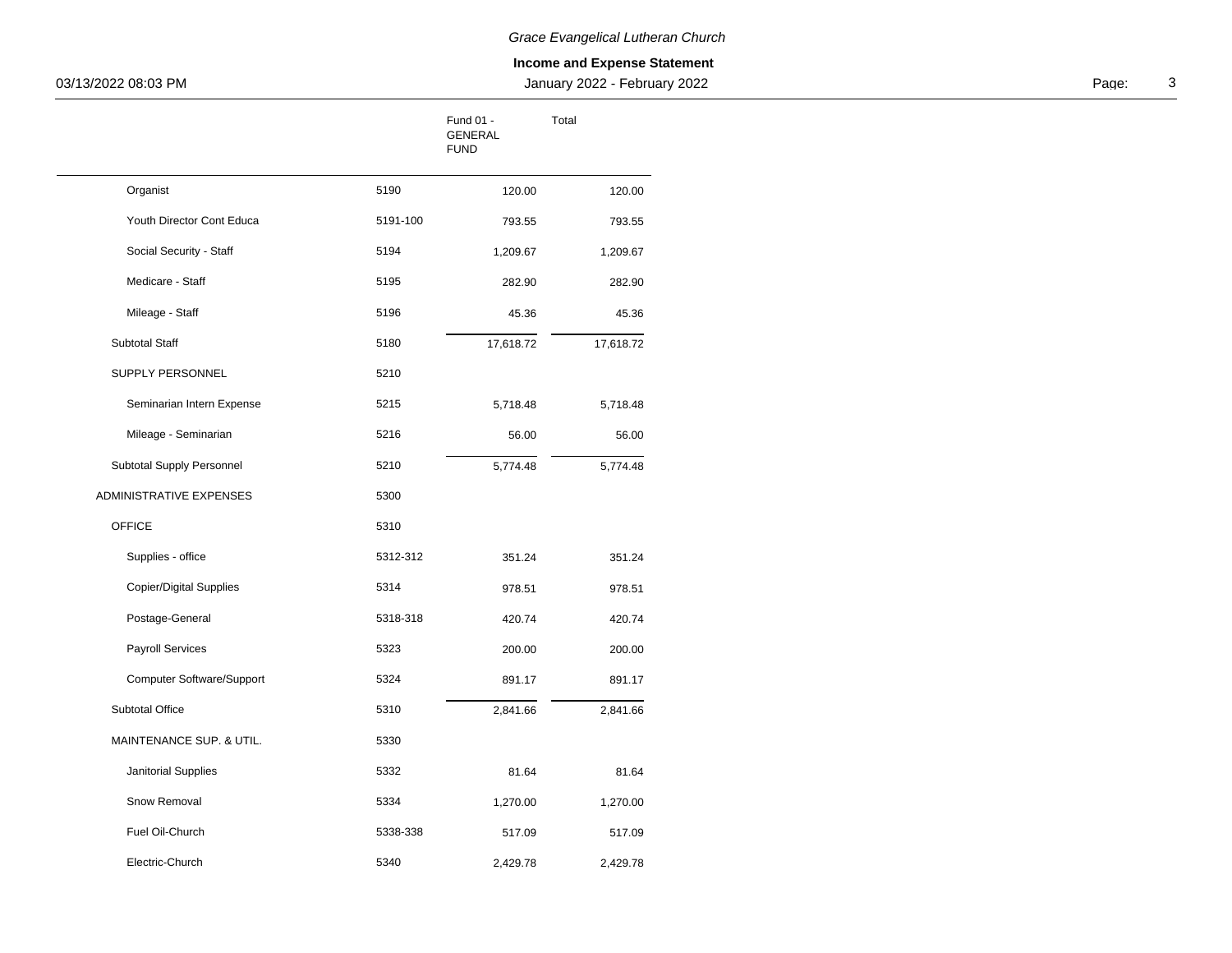| 03/13/2022 08:03 PM       |          |                              | January 2022 - February 2022 |  | Page: |
|---------------------------|----------|------------------------------|------------------------------|--|-------|
|                           |          | Fund 01 -<br>GENERAL<br>FUND | Total                        |  |       |
| Organist                  | 5190     | 120.00                       | 120.00                       |  |       |
| Youth Director Cont Educa | 5191-100 | 793.55                       | 793.55                       |  |       |
| Social Security - Staff   | 5194     | 1,209.67                     | 1,209.67                     |  |       |
| Medicare - Staff          | 5195     | 282.90                       | 282.90                       |  |       |
| Mileage - Staff           | 5196     | 45.36                        | 45.36                        |  |       |
| Subtotal Staff            | 5180     | 17,618.72                    | 17,618.72                    |  |       |
| SUPPLY PERSONNEL          | 5210     |                              |                              |  |       |
| Seminarian Intern Expense | 5215     | 5,718.48                     | 5,718.48                     |  |       |
| Mileage - Seminarian      | 5216     | 56.00                        | 56.00                        |  |       |
| Subtotal Supply Personnel | 5210     | 5,774.48                     | 5,774.48                     |  |       |
| ADMINISTRATIVE EXPENSES   | 5300     |                              |                              |  |       |
| OFFICE                    | 5310     |                              |                              |  |       |
| Supplies - office         | 5312-312 | 351.24                       | 351.24                       |  |       |
| Copier/Digital Supplies   | 5314     | 978.51                       | 978.51                       |  |       |
| Postage-General           | 5318-318 | 420.74                       | 420.74                       |  |       |
| Payroll Services          | 5323     | 200.00                       | 200.00                       |  |       |
| Computer Software/Support | 5324     | 891.17                       | 891.17                       |  |       |
| Subtotal Office           | 5310     | 2,841.66                     | 2,841.66                     |  |       |
| MAINTENANCE SUP. & UTIL.  | 5330     |                              |                              |  |       |
| Janitorial Supplies       | 5332     | 81.64                        | 81.64                        |  |       |
| Snow Removal              | 5334     | 1,270.00                     | 1,270.00                     |  |       |
| Fuel Oil-Church           | 5338-338 | 517.09                       | 517.09                       |  |       |
| Electric-Church           | 5340     | 2,429.78                     | 2,429.78                     |  |       |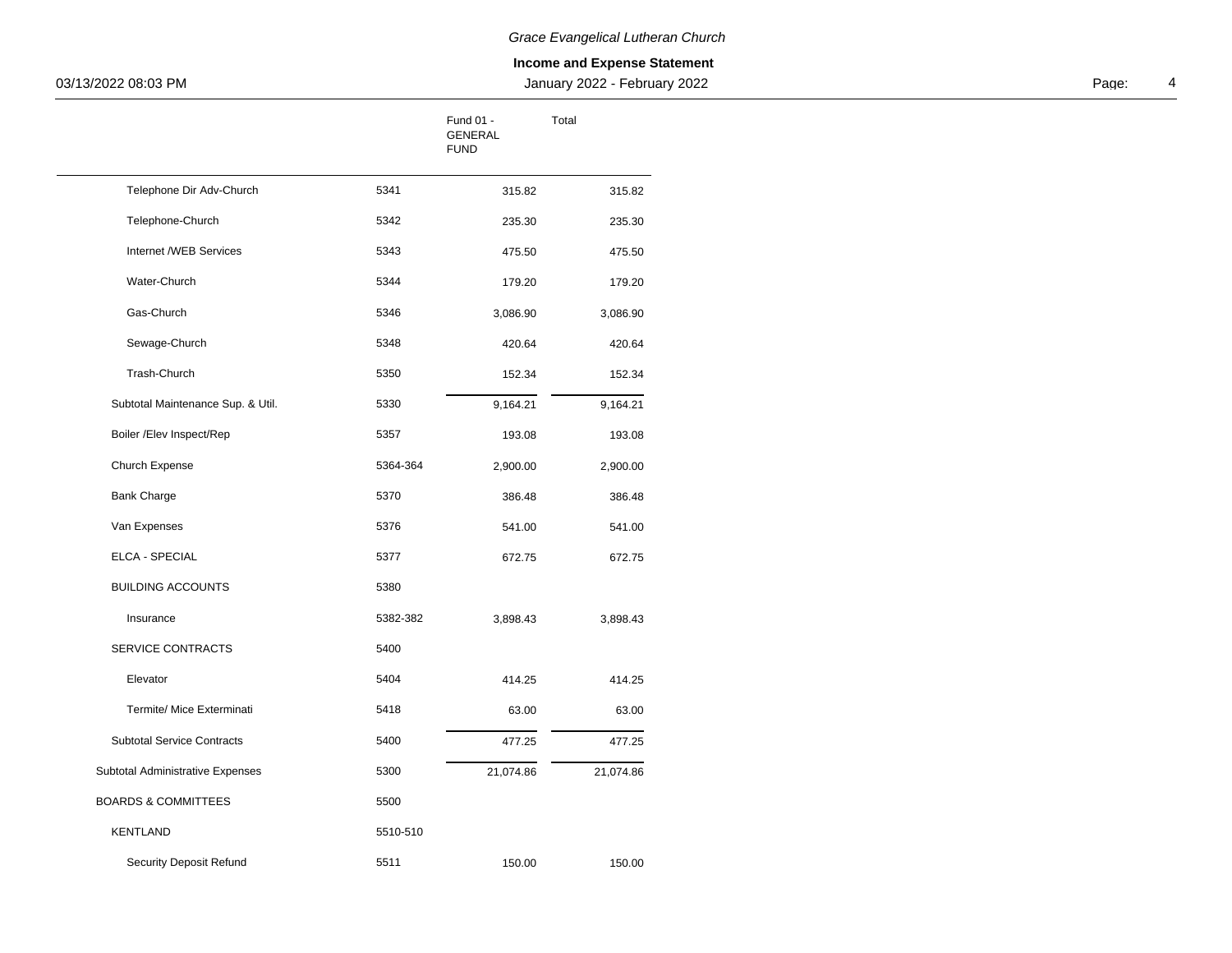| 03/13/2022 08:03 PM               |          |                                      | January 2022 - February 2022 |  | Page: |
|-----------------------------------|----------|--------------------------------------|------------------------------|--|-------|
|                                   |          | Fund 01 -<br>GENERAL<br>${\tt FUND}$ | Total                        |  |       |
| Telephone Dir Adv-Church          | 5341     | 315.82                               | 315.82                       |  |       |
| Telephone-Church                  | 5342     | 235.30                               | 235.30                       |  |       |
| Internet /WEB Services            | 5343     | 475.50                               | 475.50                       |  |       |
| Water-Church                      | 5344     | 179.20                               | 179.20                       |  |       |
| Gas-Church                        | 5346     | 3,086.90                             | 3,086.90                     |  |       |
| Sewage-Church                     | 5348     | 420.64                               | 420.64                       |  |       |
| Trash-Church                      | 5350     | 152.34                               | 152.34                       |  |       |
| Subtotal Maintenance Sup. & Util. | 5330     | 9,164.21                             | 9,164.21                     |  |       |
| Boiler /Elev Inspect/Rep          | 5357     | 193.08                               | 193.08                       |  |       |
| Church Expense                    | 5364-364 | 2,900.00                             | 2,900.00                     |  |       |
| <b>Bank Charge</b>                | 5370     | 386.48                               | 386.48                       |  |       |
| Van Expenses                      | 5376     | 541.00                               | 541.00                       |  |       |
| ELCA - SPECIAL                    | 5377     | 672.75                               | 672.75                       |  |       |
| <b>BUILDING ACCOUNTS</b>          | 5380     |                                      |                              |  |       |
| Insurance                         | 5382-382 | 3,898.43                             | 3,898.43                     |  |       |
| SERVICE CONTRACTS                 | 5400     |                                      |                              |  |       |
| Elevator                          | 5404     | 414.25                               | 414.25                       |  |       |
| Termite/ Mice Exterminati         | 5418     | 63.00                                | 63.00                        |  |       |
| <b>Subtotal Service Contracts</b> | 5400     | 477.25                               | 477.25                       |  |       |
| Subtotal Administrative Expenses  | 5300     | 21,074.86                            | 21,074.86                    |  |       |
| <b>BOARDS &amp; COMMITTEES</b>    | 5500     |                                      |                              |  |       |
| KENTLAND                          | 5510-510 |                                      |                              |  |       |
| <b>Security Deposit Refund</b>    | 5511     | 150.00                               | 150.00                       |  |       |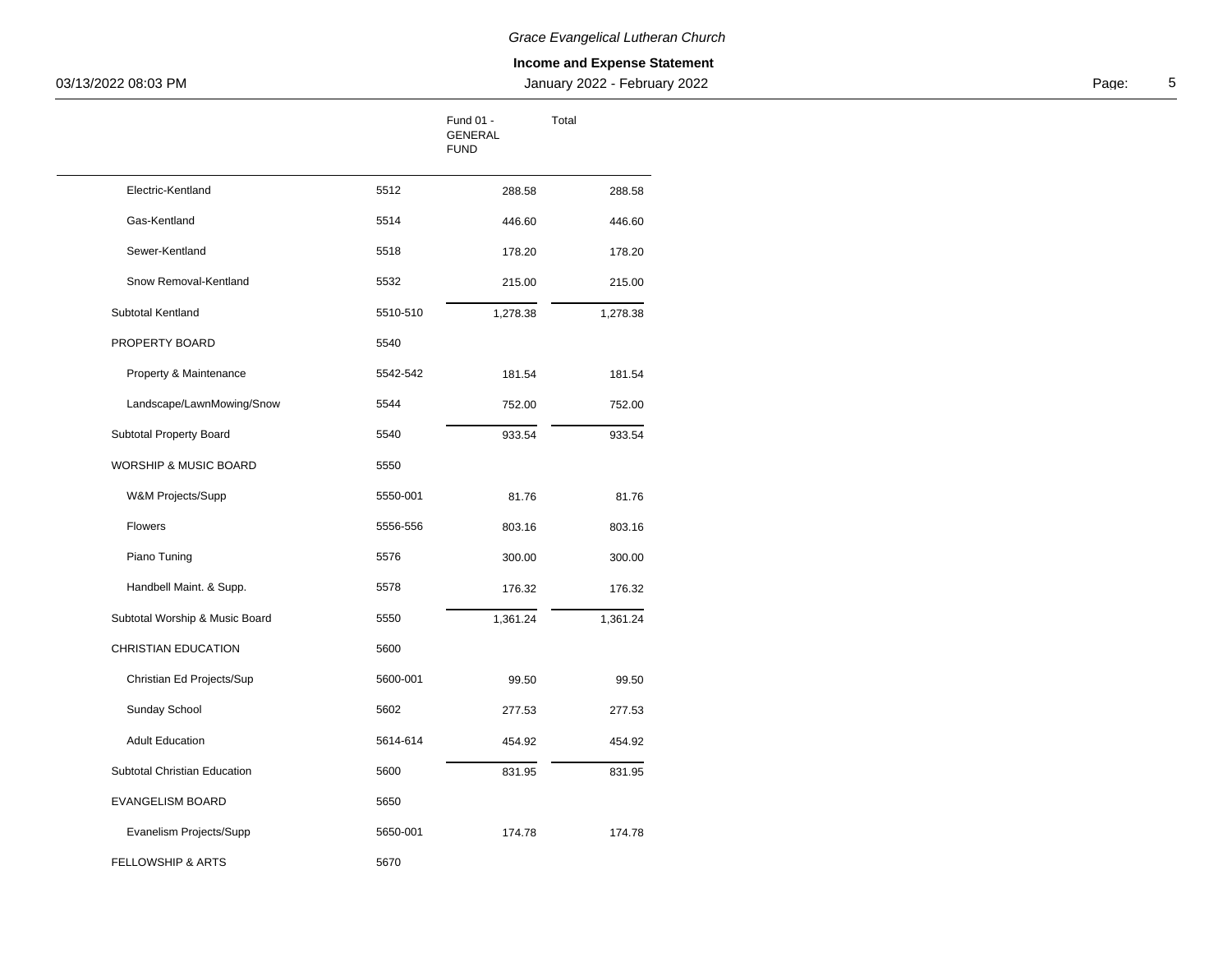| 03/13/2022 08:03 PM            |          | January 2022 - February 2022        |          |  |  | Page: |
|--------------------------------|----------|-------------------------------------|----------|--|--|-------|
|                                |          | Fund 01 -<br>GENERAL<br><b>FUND</b> | Total    |  |  |       |
| Electric-Kentland              | 5512     | 288.58                              | 288.58   |  |  |       |
| Gas-Kentland                   | 5514     | 446.60                              | 446.60   |  |  |       |
| Sewer-Kentland                 | 5518     | 178.20                              | 178.20   |  |  |       |
| Snow Removal-Kentland          | 5532     | 215.00                              | 215.00   |  |  |       |
| Subtotal Kentland              | 5510-510 | 1,278.38                            | 1,278.38 |  |  |       |
| PROPERTY BOARD                 | 5540     |                                     |          |  |  |       |
| Property & Maintenance         | 5542-542 | 181.54                              | 181.54   |  |  |       |
| Landscape/LawnMowing/Snow      | 5544     | 752.00                              | 752.00   |  |  |       |
| Subtotal Property Board        | 5540     | 933.54                              | 933.54   |  |  |       |
| WORSHIP & MUSIC BOARD          | 5550     |                                     |          |  |  |       |
| W&M Projects/Supp              | 5550-001 | 81.76                               | 81.76    |  |  |       |
| Flowers                        | 5556-556 | 803.16                              | 803.16   |  |  |       |
| Piano Tuning                   | 5576     | 300.00                              | 300.00   |  |  |       |
| Handbell Maint. & Supp.        | 5578     | 176.32                              | 176.32   |  |  |       |
| Subtotal Worship & Music Board | 5550     | 1,361.24                            | 1,361.24 |  |  |       |
| CHRISTIAN EDUCATION            | 5600     |                                     |          |  |  |       |
| Christian Ed Projects/Sup      | 5600-001 | 99.50                               | 99.50    |  |  |       |
| Sunday School                  | 5602     | 277.53                              | 277.53   |  |  |       |
| <b>Adult Education</b>         | 5614-614 | 454.92                              | 454.92   |  |  |       |
| Subtotal Christian Education   | 5600     | 831.95                              | 831.95   |  |  |       |
| EVANGELISM BOARD               | 5650     |                                     |          |  |  |       |
| Evanelism Projects/Supp        | 5650-001 | 174.78                              | 174.78   |  |  |       |
| FELLOWSHIP & ARTS              | 5670     |                                     |          |  |  |       |